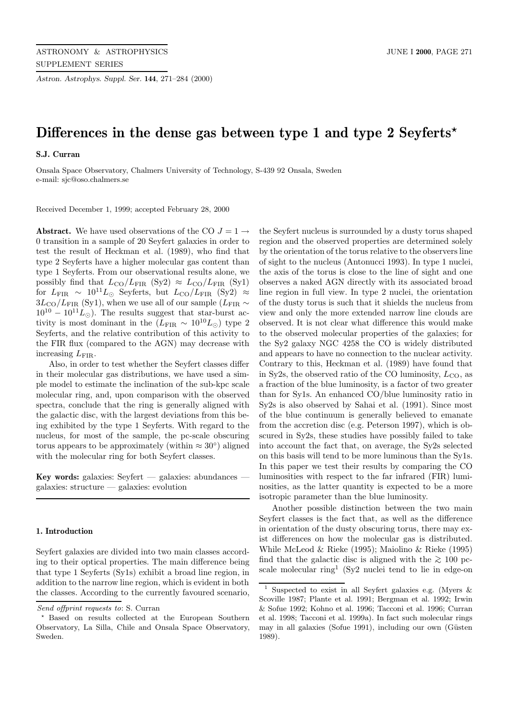*Astron. Astrophys. Suppl. Ser.* **144**, 271–284 (2000)

# **Differences in the dense gas between type 1 and type 2 Seyferts***?*

**S.J. Curran**

Onsala Space Observatory, Chalmers University of Technology, S-439 92 Onsala, Sweden e-mail: sjc@oso.chalmers.se

Received December 1, 1999; accepted February 28, 2000

**Abstract.** We have used observations of the CO  $J = 1 \rightarrow$ 0 transition in a sample of 20 Seyfert galaxies in order to test the result of Heckman et al. (1989), who find that type 2 Seyferts have a higher molecular gas content than type 1 Seyferts. From our observational results alone, we possibly find that  $L_{\text{CO}}/L_{\text{FIR}}$  (Sy2)  $\approx L_{\text{CO}}/L_{\text{FIR}}$  (Sy1) for  $L_{\rm FIR} \sim 10^{11} L_{\odot}$  Seyferts, but  $L_{\rm CO}/L_{\rm FIR}$  (Sy2) ≈  $3L_{\text{CO}}/L_{\text{FIR}}$  (Sy1), when we use all of our sample ( $L_{\text{FIR}}$  ~  $10^{10} - 10^{11} L_{\odot}$ ). The results suggest that star-burst activity is most dominant in the  $(L_{\text{FIR}} \sim 10^{10} L_{\odot})$  type 2 Seyferts, and the relative contribution of this activity to the FIR flux (compared to the AGN) may decrease with increasing  $L_{\text{FIR}}$ .

Also, in order to test whether the Seyfert classes differ in their molecular gas distributions, we have used a simple model to estimate the inclination of the sub-kpc scale molecular ring, and, upon comparison with the observed spectra, conclude that the ring is generally aligned with the galactic disc, with the largest deviations from this being exhibited by the type 1 Seyferts. With regard to the nucleus, for most of the sample, the pc-scale obscuring torus appears to be approximately (within  $\approx 30^{\circ}$ ) aligned with the molecular ring for both Seyfert classes.

**Key words:** galaxies: Seyfert — galaxies: abundances galaxies: structure — galaxies: evolution

## **1. Introduction**

Seyfert galaxies are divided into two main classes according to their optical properties. The main difference being that type 1 Seyferts (Sy1s) exhibit a broad line region, in addition to the narrow line region, which is evident in both the classes. According to the currently favoured scenario, the Seyfert nucleus is surrounded by a dusty torus shaped region and the observed properties are determined solely by the orientation of the torus relative to the observers line of sight to the nucleus (Antonucci 1993). In type 1 nuclei, the axis of the torus is close to the line of sight and one observes a naked AGN directly with its associated broad line region in full view. In type 2 nuclei, the orientation of the dusty torus is such that it shields the nucleus from view and only the more extended narrow line clouds are observed. It is not clear what difference this would make to the observed molecular properties of the galaxies; for the Sy2 galaxy NGC 4258 the CO is widely distributed and appears to have no connection to the nuclear activity. Contrary to this, Heckman et al. (1989) have found that in Sy2s, the observed ratio of the CO luminosity,  $L_{CO}$ , as a fraction of the blue luminosity, is a factor of two greater than for Sy1s. An enhanced CO/blue luminosity ratio in Sy2s is also observed by Sahai et al. (1991). Since most of the blue continuum is generally believed to emanate from the accretion disc (e.g. Peterson 1997), which is obscured in Sy2s, these studies have possibly failed to take into account the fact that, on average, the Sy2s selected on this basis will tend to be more luminous than the Sy1s. In this paper we test their results by comparing the CO luminosities with respect to the far infrared (FIR) luminosities, as the latter quantity is expected to be a more isotropic parameter than the blue luminosity.

Another possible distinction between the two main Seyfert classes is the fact that, as well as the difference in orientation of the dusty obscuring torus, there may exist differences on how the molecular gas is distributed. While McLeod & Rieke (1995); Maiolino & Rieke (1995) find that the galactic disc is aligned with the  $\gtrsim 100$  pcscale molecular ring<sup>1</sup> (Sy<sub>2</sub> nuclei tend to lie in edge-on

Send offprint requests to: S. Curran

<sup>?</sup> Based on results collected at the European Southern Observatory, La Silla, Chile and Onsala Space Observatory, Sweden.

<sup>1</sup> Suspected to exist in all Seyfert galaxies e.g. (Myers & Scoville 1987; Plante et al. 1991; Bergman et al. 1992; Irwin & Sofue 1992; Kohno et al. 1996; Tacconi et al. 1996; Curran et al. 1998; Tacconi et al. 1999a). In fact such molecular rings may in all galaxies (Sofue 1991), including our own (Güsten 1989).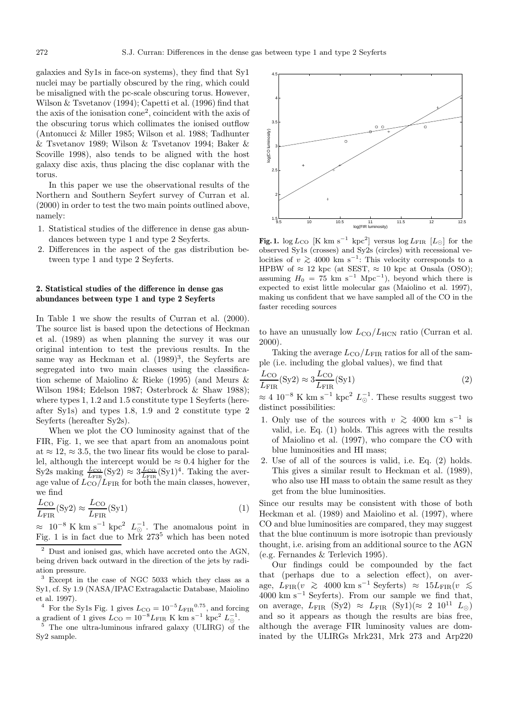galaxies and Sy1s in face-on systems), they find that Sy1 nuclei may be partially obscured by the ring, which could be misaligned with the pc-scale obscuring torus. However, Wilson & Tsvetanov (1994); Capetti et al. (1996) find that the axis of the ionisation cone<sup>2</sup>, coincident with the axis of the obscuring torus which collimates the ionised outflow (Antonucci & Miller 1985; Wilson et al. 1988; Tadhunter & Tsvetanov 1989; Wilson & Tsvetanov 1994; Baker & Scoville 1998), also tends to be aligned with the host galaxy disc axis, thus placing the disc coplanar with the torus.

In this paper we use the observational results of the Northern and Southern Seyfert survey of Curran et al. (2000) in order to test the two main points outlined above, namely:

- 1. Statistical studies of the difference in dense gas abundances between type 1 and type 2 Seyferts.
- 2. Differences in the aspect of the gas distribution between type 1 and type 2 Seyferts.

## **2. Statistical studies of the difference in dense gas abundances between type 1 and type 2 Seyferts**

In Table 1 we show the results of Curran et al. (2000). The source list is based upon the detections of Heckman et al. (1989) as when planning the survey it was our original intention to test the previous results. In the same way as Heckman et al.  $(1989)^3$ , the Seyferts are segregated into two main classes using the classification scheme of Maiolino & Rieke (1995) (and Meurs & Wilson 1984; Edelson 1987; Osterbrock & Shaw 1988); where types 1, 1.2 and 1.5 constitute type 1 Seyferts (hereafter Sy1s) and types 1.8, 1.9 and 2 constitute type 2 Seyferts (hereafter Sy2s).

When we plot the CO luminosity against that of the FIR, Fig. 1, we see that apart from an anomalous point at  $\approx 12$ ,  $\approx 3.5$ , the two linear fits would be close to parallel, although the intercept would be  $\approx 0.4$  higher for the Sy2s making  $\frac{L_{\text{CO}}}{L_{\text{FIR}}}$  (Sy2)  $\approx 3 \frac{L_{\text{CO}}}{L_{\text{FIR}}}$  (Sy1)<sup>4</sup>. Taking the average value of  $L_{\text{CO}}/L_{\text{FIR}}$  for both the main classes, however, we find

$$
\frac{L_{\text{CO}}}{L_{\text{FIR}}}(\text{Sy2}) \approx \frac{L_{\text{CO}}}{L_{\text{FIR}}}(\text{Sy1})\tag{1}
$$

 $\approx 10^{-8}$  K km s<sup>-1</sup> kpc<sup>2</sup>  $L_{\odot}^{-1}$ . The anomalous point in Fig. 1 is in fact due to Mrk 273<sup>5</sup> which has been noted

- <sup>4</sup> For the Sy1s Fig. 1 gives  $L_{\text{CO}} = 10^{-5} L_{\text{FIR}}^{0.75}$ , and forcing a gradient of 1 gives  $L_{\text{CO}} = 10^{-8} L_{\text{FIR}}$  K km s<sup>-1</sup> kpc<sup>2</sup>  $L_{\odot}^{-1}$ .<br><sup>5</sup> The one ultra-luminous infrared galaxy (ULIRG) of the
- Sy2 sample.



**Fig. 1.** log  $L_{\text{CO}}$  [K km s<sup>-1</sup> kpc<sup>2</sup>] versus log  $L_{\text{FIR}}$  [ $L_{\odot}$ ] for the observed Sy1s (crosses) and Sy2s (circles) with recessional velocities of  $v \ge 4000 \text{ km s}^{-1}$ : This velocity corresponds to a HPBW of  $\approx 12$  kpc (at SEST,  $\approx 10$  kpc at Onsala (OSO); assuming  $H_0 = 75$  km s<sup>-1</sup> Mpc<sup>-1</sup>), beyond which there is expected to exist little molecular gas (Maiolino et al. 1997), making us confident that we have sampled all of the CO in the faster receding sources

to have an unusually low  $L_{\text{CO}}/L_{\text{HCN}}$  ratio (Curran et al. 2000).

Taking the average  $L_{\text{CO}}/L_{\text{FIR}}$  ratios for all of the sample (i.e. including the global values), we find that

$$
\frac{L_{\rm CO}}{L_{\rm FIR}}(\text{Sy2}) \approx 3 \frac{L_{\rm CO}}{L_{\rm FIR}}(\text{Sy1})
$$
\n(2)

 $\approx 4 \, 10^{-8} \, \text{K km s}^{-1} \, \text{kpc}^2 \, L_{\odot}^{-1}$ . These results suggest two distinct possibilities:

- 1. Only use of the sources with  $v \ge 4000 \text{ km s}^{-1}$  is valid, i.e. Eq. (1) holds. This agrees with the results of Maiolino et al. (1997), who compare the CO with blue luminosities and HI mass;
- 2. Use of all of the sources is valid, i.e. Eq. (2) holds. This gives a similar result to Heckman et al. (1989), who also use HI mass to obtain the same result as they get from the blue luminosities.

Since our results may be consistent with those of both Heckman et al. (1989) and Maiolino et al. (1997), where CO and blue luminosities are compared, they may suggest that the blue continuum is more isotropic than previously thought, i.e. arising from an additional source to the AGN (e.g. Fernandes & Terlevich 1995).

Our findings could be compounded by the fact that (perhaps due to a selection effect), on average,  $L_{\text{FIR}}(v \gtrsim 4000 \text{ km s}^{-1} \text{ Seyferts}) \approx 15 L_{\text{FIR}}(v \lesssim 4000 \text{ km s}^{-1} \text{ Seyferts}).$  From our sample we find that, on average,  $L_{\text{FIR}}$  (Sy2)  $\approx L_{\text{FIR}}$  (Sy1)( $\approx 2$  10<sup>11</sup>  $L_{\odot}$ ) and so it appears as though the results are bias free, although the average FIR luminosity values are dominated by the ULIRGs Mrk231, Mrk 273 and Arp220

<sup>2</sup> Dust and ionised gas, which have accreted onto the AGN, being driven back outward in the direction of the jets by radiation pressure.

<sup>3</sup> Except in the case of NGC 5033 which they class as a Sy1, cf. Sy 1.9 (NASA/IPAC Extragalactic Database, Maiolino et al. 1997).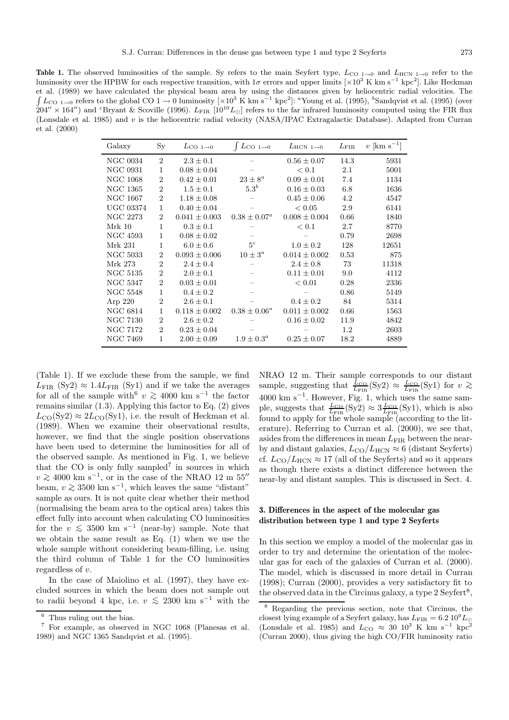**Table 1.** The observed luminosities of the sample. Sy refers to the main Seyfert type,  $L_{\text{CO 1}\rightarrow0}$  and  $L_{\text{HCN 1}\rightarrow0}$  refer to the luminosity over the HPBW for each respective transition, with  $1\sigma$  errors and upper limits [×10<sup>3</sup> K km s<sup>−1</sup> kpc<sup>2</sup>]. Like Heckman et al. (1989) we have calculated the physical beam area by using the distances given by heliocentric radial velocities. The  $\int L_{\text{CO 1}\rightarrow 0}$  refers to the global CO 1 → 0 luminosity  $[\times 10^3 \text{ K km s}^{-1} \text{ kpc}^2]$ : "Young et al. (1995), "Sandqvist et al. (1995) (over  $204'' \times 164'$ ) and <sup>c</sup>Bryant & Scoville (1996).  $L_{\rm FIR}$  [10<sup>10</sup> $L_{\odot}$ ] refers to the far infrared luminosity computed using the FIR flux (Lonsdale et al. 1985) and v is the heliocentric radial velocity (NASA/IPAC Extragalactic Database). Adapted from Curran et al. (2000)

| Galaxy           | $S_{y}$        | $L_{CO~1\rightarrow0}$ | $\int L_{\text{CO 1}\rightarrow 0}$ | $L_{\rm HCN~1\rightarrow0}$ | $L_{\rm FIR}$ | $v$ [km s <sup>-1</sup> ] |
|------------------|----------------|------------------------|-------------------------------------|-----------------------------|---------------|---------------------------|
| <b>NGC 0034</b>  | $\overline{2}$ | $2.3 \pm 0.1$          |                                     | $0.56 \pm 0.07$             | 14.3          | 5931                      |
| <b>NGC 0931</b>  | 1              | $0.08 \pm 0.04$        |                                     | < 0.1                       | 2.1           | 5001                      |
| <b>NGC 1068</b>  | $\overline{2}$ | $0.42 \pm 0.01$        | $23 \pm 8^a$                        | $0.09 \pm 0.01$             | 7.4           | 1134                      |
| <b>NGC 1365</b>  | $\overline{2}$ | $1.5 \pm 0.1$          | $5.3^b$                             | $0.16 \pm 0.03$             | 6.8           | 1636                      |
| <b>NGC 1667</b>  | $\overline{2}$ | $1.18 \pm 0.08$        |                                     | $0.45 \pm 0.06$             | 4.2           | 4547                      |
| <b>UGC 03374</b> | 1              | $0.40 \pm 0.04$        |                                     | < 0.05                      | 2.9           | 6141                      |
| <b>NGC 2273</b>  | $\overline{2}$ | $0.041 \pm 0.003$      | $0.38 \pm 0.07^a$                   | $0.008 \pm 0.004$           | 0.66          | 1840                      |
| Mrk 10           | 1              | $0.3 \pm 0.1$          |                                     | < 0.1                       | 2.7           | 8770                      |
| NGC 4593         | 1              | $0.08 \pm 0.02$        |                                     |                             | 0.79          | 2698                      |
| Mrk 231          | 1              | $6.0 \pm 0.6$          | $5^c$                               | $1.0 \pm 0.2$               | 128           | 12651                     |
| <b>NGC 5033</b>  | $\overline{2}$ | $0.093 \pm 0.006$      | $10 \pm 3^a$                        | $0.014 \pm 0.002$           | 0.53          | 875                       |
| Mrk 273          | $\overline{2}$ | $2.4 \pm 0.4$          |                                     | $2.4 \pm 0.8$               | 73            | 11318                     |
| <b>NGC 5135</b>  | $\overline{2}$ | $2.0 \pm 0.1$          |                                     | $0.11 \pm 0.01$             | 9.0           | 4112                      |
| <b>NGC 5347</b>  | $\overline{2}$ | $0.03 \pm 0.01$        |                                     | < 0.01                      | 0.28          | 2336                      |
| NGC 5548         | $\mathbf{1}$   | $0.4 \pm 0.2$          |                                     |                             | 0.86          | 5149                      |
| Arp 220          | $\overline{2}$ | $2.6 \pm 0.1$          |                                     | $0.4 \pm 0.2$               | 84            | 5314                      |
| <b>NGC 6814</b>  | 1              | $0.118 \pm 0.002$      | $0.38 \pm 0.06^a$                   | $0.011 \pm 0.002$           | 0.66          | 1563                      |
| <b>NGC 7130</b>  | $\overline{2}$ | $2.6 \pm 0.2$          |                                     | $0.16 \pm 0.02$             | 11.9          | 4842                      |
| NGC 7172         | $\overline{2}$ | $0.23 \pm 0.04$        |                                     |                             | 1.2           | 2603                      |
| NGC 7469         | 1              | $2.00 \pm 0.09$        | $1.9 \pm 0.3^a$                     | $0.25 \pm 0.07$             | 18.2          | 4889                      |

(Table 1). If we exclude these from the sample, we find  $L_{\rm FIR}$  (Sy2)  $\approx 1.4 L_{\rm FIR}$  (Sy1) and if we take the averages for all of the sample with<sup>6</sup>  $v \ge 4000$  km s<sup>-1</sup> the factor remains similar (1.3). Applying this factor to Eq. (2) gives  $L_{\text{CO}}(\text{Sy2}) \approx 2L_{\text{CO}}(\text{Sy1})$ , i.e. the result of Heckman et al. (1989). When we examine their observational results, however, we find that the single position observations have been used to determine the luminosities for all of the observed sample. As mentioned in Fig. 1, we believe that the CO is only fully sampled<sup>7</sup> in sources in which  $v \gtrsim 4000 \text{ km s}^{-1}$ , or in the case of the NRAO 12 m 55<sup>0</sup> beam,  $v \gtrsim 3500 \text{ km s}^{-1}$ , which leaves the same "distant" sample as ours. It is not quite clear whether their method (normalising the beam area to the optical area) takes this effect fully into account when calculating CO luminosities for the  $v \leq 3500 \text{ km s}^{-1}$  (near-by) sample. Note that we obtain the same result as Eq. (1) when we use the whole sample without considering beam-filling, i.e. using the third column of Table 1 for the CO luminosities regardless of v.

In the case of Maiolino et al. (1997), they have excluded sources in which the beam does not sample out to radii beyond 4 kpc, i.e.  $v \le 2300$  km s<sup>-1</sup> with the

NRAO 12 m. Their sample corresponds to our distant sample, suggesting that  $\frac{L_{\text{CO}}}{L_{\text{FIR}}}$  $(Sy2) \approx \frac{L_{\text{CO}}}{L_{\text{FIR}}}$  $(Sy1)$  for  $v \approx$  $4000 \text{ km s}^{-1}$ . However, Fig. 1, which uses the same sample, suggests that  $\frac{L_{\text{CO}}}{L_{\text{FIR}}}$ (Sy2)  $\approx 3 \frac{L_{\text{CO}}}{L_{\text{FIR}}}$ (Sy1), which is also found to apply for the whole sample (according to the literature). Referring to Curran et al. (2000), we see that, asides from the differences in mean  $L_{\text{FIR}}$  between the nearby and distant galaxies,  $L_{\text{CO}}/L_{\text{HCN}} \approx 6$  (distant Seyferts) cf.  $L_{\text{CO}}/L_{\text{HCN}} \approx 17$  (all of the Seyferts) and so it appears as though there exists a distinct difference between the near-by and distant samples. This is discussed in Sect. 4.

## **3. Differences in the aspect of the molecular gas distribution between type 1 and type 2 Seyferts**

In this section we employ a model of the molecular gas in order to try and determine the orientation of the molecular gas for each of the galaxies of Curran et al. (2000). The model, which is discussed in more detail in Curran (1998); Curran (2000), provides a very satisfactory fit to the observed data in the Circinus galaxy, a type  $2$  Seyfert<sup>8</sup>,

 $6$  Thus ruling out the bias.

<sup>7</sup> For example, as observed in NGC 1068 (Planesas et al. 1989) and NGC 1365 Sandqvist et al. (1995).

<sup>8</sup> Regarding the previous section, note that Circinus, the closest lying example of a Seyfert galaxy, has  $L_{\text{FIR}} = 6.2 \times 10^9 L_{\odot}$ (Lonsdale et al. 1985) and  $L_{\text{CO}} \approx 30 \; 10^3 \; \text{K} \; \text{km} \; \text{s}^{-1} \; \text{kpc}^2$ (Curran 2000), thus giving the high CO/FIR luminosity ratio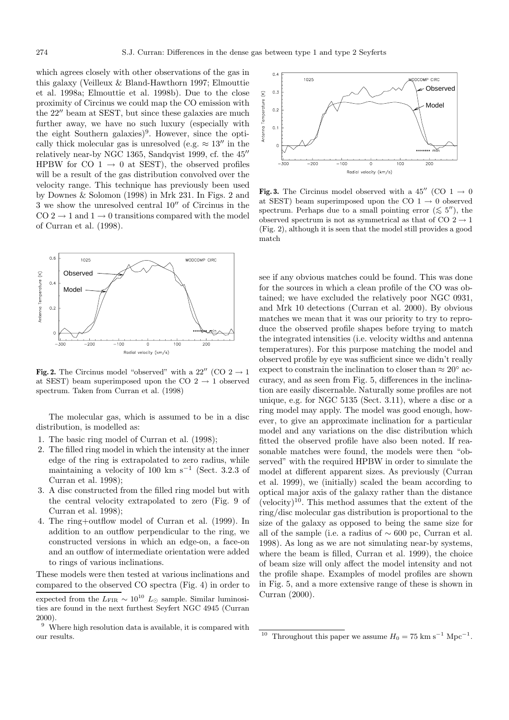which agrees closely with other observations of the gas in this galaxy (Veilleux & Bland-Hawthorn 1997; Elmouttie et al. 1998a; Elmouttie et al. 1998b). Due to the close proximity of Circinus we could map the CO emission with the  $22^{\prime\prime}$  beam at SEST, but since these galaxies are much further away, we have no such luxury (especially with the eight Southern galaxies)<sup>9</sup>. However, since the optically thick molecular gas is unresolved (e.g.  $\approx 13''$  in the relatively near-by NGC 1365, Sandqvist 1999, cf. the  $45$ <sup>"</sup> HPBW for CO 1  $\rightarrow$  0 at SEST), the observed profiles will be a result of the gas distribution convolved over the velocity range. This technique has previously been used by Downes & Solomon (1998) in Mrk 231. In Figs. 2 and  $3$  we show the unresolved central  $10^{\prime\prime}$  of Circinus in the  $CO 2 \rightarrow 1$  and  $1 \rightarrow 0$  transitions compared with the model of Curran et al. (1998).



**Fig. 2.** The Circinus model "observed" with a 22" (CO  $2 \rightarrow 1$ ) at SEST) beam superimposed upon the CO  $2 \rightarrow 1$  observed spectrum. Taken from Curran et al. (1998)

The molecular gas, which is assumed to be in a disc distribution, is modelled as:

- 1. The basic ring model of Curran et al. (1998);
- 2. The filled ring model in which the intensity at the inner edge of the ring is extrapolated to zero radius, while maintaining a velocity of 100 km s<sup> $-1$ </sup> (Sect. 3.2.3 of Curran et al. 1998);
- 3. A disc constructed from the filled ring model but with the central velocity extrapolated to zero (Fig. 9 of Curran et al. 1998);
- 4. The ring+outflow model of Curran et al. (1999). In addition to an outflow perpendicular to the ring, we constructed versions in which an edge-on, a face-on and an outflow of intermediate orientation were added to rings of various inclinations.

These models were then tested at various inclinations and compared to the observed CO spectra (Fig. 4) in order to



**Fig. 3.** The Circinus model observed with a 45<sup>0</sup> (CO 1  $\rightarrow$  0 at SEST) beam superimposed upon the CO  $1 \rightarrow 0$  observed spectrum. Perhaps due to a small pointing error  $(\leq 5'')$ , the observed spectrum is not as symmetrical as that of CO  $2 \rightarrow 1$ (Fig. 2), although it is seen that the model still provides a good match

see if any obvious matches could be found. This was done for the sources in which a clean profile of the CO was obtained; we have excluded the relatively poor NGC 0931, and Mrk 10 detections (Curran et al. 2000). By obvious matches we mean that it was our priority to try to reproduce the observed profile shapes before trying to match the integrated intensities (i.e. velocity widths and antenna temperatures). For this purpose matching the model and observed profile by eye was sufficient since we didn't really expect to constrain the inclination to closer than  $\approx 20^{\circ}$  accuracy, and as seen from Fig. 5, differences in the inclination are easily discernable. Naturally some profiles are not unique, e.g. for NGC 5135 (Sect. 3.11), where a disc or a ring model may apply. The model was good enough, however, to give an approximate inclination for a particular model and any variations on the disc distribution which fitted the observed profile have also been noted. If reasonable matches were found, the models were then "observed" with the required HPBW in order to simulate the model at different apparent sizes. As previously (Curran et al. 1999), we (initially) scaled the beam according to optical major axis of the galaxy rather than the distance  $(velocity)^{10}$ . This method assumes that the extent of the ring/disc molecular gas distribution is proportional to the size of the galaxy as opposed to being the same size for all of the sample (i.e. a radius of  $\sim 600$  pc, Curran et al. 1998). As long as we are not simulating near-by systems, where the beam is filled, Curran et al. 1999), the choice of beam size will only affect the model intensity and not the profile shape. Examples of model profiles are shown in Fig. 5, and a more extensive range of these is shown in Curran (2000).

expected from the  $L_{\text{FIR}} \sim 10^{10} L_{\odot}$  sample. Similar luminosities are found in the next furthest Seyfert NGC 4945 (Curran 2000).

 $9$  Where high resolution data is available, it is compared with our results.

<sup>&</sup>lt;sup>10</sup> Throughout this paper we assume  $H_0 = 75$  km s<sup>-1</sup> Mpc<sup>-1</sup>.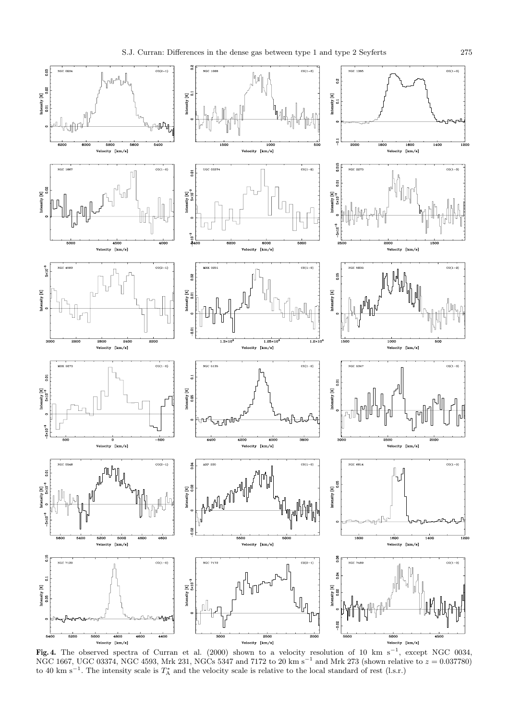5.03

 $\begin{array}{ll} \text{intensity [K]}\\ 0.01 & 0.02 \end{array}$ 

Intensity  $[K]$ <br> $0.02$ 

 $5 \times 10^{-3}$ 

Intensity $[\mathbb{K}]$ 

Ē

ntensity [K]<br>Sx10<sup>-3</sup>

րՄ<sup>ոլ</sup>ի

U<br>U

 $/s]$ 

 $/s<sup>2</sup>$ 





**Fig. 4.** The observed spectra of Curran et al. (2000) shown to a velocity resolution of 10 km s−<sup>1</sup>, except NGC 0034, NGC 1667, UGC 03374, NGC 4593, Mrk 231, NGCs 5347 and 7172 to 20 km s<sup>−1</sup> and Mrk 273 (shown relative to  $z = 0.037780$ ) to 40 km s<sup>-1</sup>. The intensity scale is  $T_A^*$  and the velocity scale is relative to the local standard of rest (l.s.r.)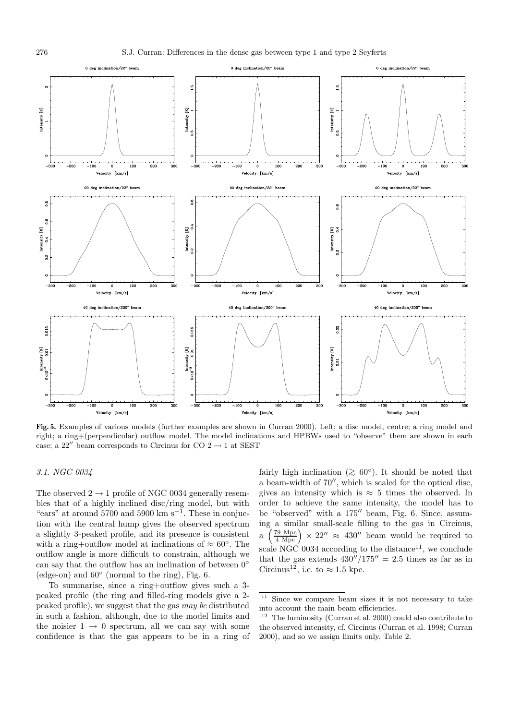

**Fig. 5.** Examples of various models (further examples are shown in Curran 2000). Left; a disc model, centre; a ring model and right; a ring+(perpendicular) outflow model. The model inclinations and HPBWs used to "observe" them are shown in each case; a 22" beam corresponds to Circinus for CO  $2 \rightarrow 1$  at SEST

## 3.1. NGC 0034

The observed  $2 \rightarrow 1$  profile of NGC 0034 generally resembles that of a highly inclined disc/ring model, but with "ears" at around  $5700$  and  $5900 \text{ km s}^{-1}$ . These in conjuction with the central hump gives the observed spectrum a slightly 3-peaked profile, and its presence is consistent with a ring+outflow model at inclinations of  $\approx 60^{\circ}$ . The outflow angle is more difficult to constrain, although we can say that the outflow has an inclination of between  $0°$ (edge-on) and  $60°$  (normal to the ring), Fig. 6.

To summarise, since a ring+outflow gives such a 3 peaked profile (the ring and filled-ring models give a 2 peaked profile), we suggest that the gas may be distributed in such a fashion, although, due to the model limits and the noisier  $1 \rightarrow 0$  spectrum, all we can say with some confidence is that the gas appears to be in a ring of fairly high inclination ( $\gtrsim 60°$ ). It should be noted that a beam-width of  $70''$ , which is scaled for the optical disc, gives an intensity which is  $\approx$  5 times the observed. In order to achieve the same intensity, the model has to be "observed" with a  $175$ " beam, Fig. 6. Since, assuming a similar small-scale filling to the gas in Circinus, a  $\left(\frac{79 \text{ Mpc}}{4 \text{ Mpc}}\right) \times 22'' \approx 430''$  beam would be required to scale NGC 0034 according to the distance<sup>11</sup>, we conclude that the gas extends  $430''/175'' = 2.5$  times as far as in Circinus<sup>12</sup>, i.e. to  $\approx$  1.5 kpc.

<sup>11</sup> Since we compare beam sizes it is not necessary to take into account the main beam efficiencies.

 $12$  The luminosity (Curran et al. 2000) could also contribute to the observed intensity, cf. Circinus (Curran et al. 1998; Curran 2000), and so we assign limits only, Table 2.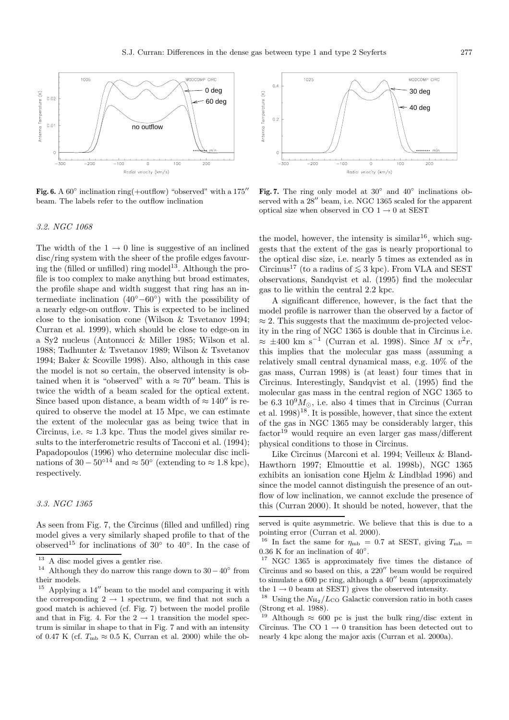

**Fig. 6.** A  $60^\circ$  inclination ring(+outflow) "observed" with a  $175$ " beam. The labels refer to the outflow inclination

#### 3.2. NGC 1068

The width of the  $1 \rightarrow 0$  line is suggestive of an inclined disc/ring system with the sheer of the profile edges favouring the (filled or unfilled) ring model<sup>13</sup>. Although the profile is too complex to make anything but broad estimates, the profile shape and width suggest that ring has an intermediate inclination  $(40°-60°)$  with the possibility of a nearly edge-on outflow. This is expected to be inclined close to the ionisation cone (Wilson & Tsvetanov 1994; Curran et al. 1999), which should be close to edge-on in a Sy2 nucleus (Antonucci & Miller 1985; Wilson et al. 1988; Tadhunter & Tsvetanov 1989; Wilson & Tsvetanov 1994; Baker & Scoville 1998). Also, although in this case the model is not so certain, the observed intensity is obtained when it is "observed" with a  $\approx 70''$  beam. This is twice the width of a beam scaled for the optical extent. Since based upon distance, a beam width of  $\approx 140''$  is required to observe the model at 15 Mpc, we can estimate the extent of the molecular gas as being twice that in Circinus, i.e.  $\approx 1.3$  kpc. Thus the model gives similar results to the interferometric results of Tacconi et al. (1994); Papadopoulos (1996) who determine molecular disc inclinations of  $30 - 50^{\circ}$ <sup>14</sup> and  $\approx 50^{\circ}$  (extending to  $\approx 1.8$  kpc), respectively.

#### 3.3. NGC 1365

As seen from Fig. 7, the Circinus (filled and unfilled) ring model gives a very similarly shaped profile to that of the observed<sup>15</sup> for inclinations of 30 $\degree$  to 40 $\degree$ . In the case of



**Fig. 7.** The ring only model at 30◦ and 40◦ inclinations observed with a  $28''$  beam, i.e. NGC 1365 scaled for the apparent optical size when observed in CO  $1\to 0$  at SEST

the model, however, the intensity is similar<sup>16</sup>, which suggests that the extent of the gas is nearly proportional to the optical disc size, i.e. nearly 5 times as extended as in Circinus<sup>17</sup> (to a radius of  $\leq 3$  kpc). From VLA and SEST observations, Sandqvist et al. (1995) find the molecular gas to lie within the central 2.2 kpc.

A significant difference, however, is the fact that the model profile is narrower than the observed by a factor of  $\approx$  2. This suggests that the maximum de-projected velocity in the ring of NGC 1365 is double that in Circinus i.e.  $\approx \pm 400$  km s<sup>-1</sup> (Curran et al. 1998). Since  $M \propto v^2r$ , this implies that the molecular gas mass (assuming a relatively small central dynamical mass, e.g. 10% of the gas mass, Curran 1998) is (at least) four times that in Circinus. Interestingly, Sandqvist et al. (1995) find the molecular gas mass in the central region of NGC 1365 to be 6.3  $10^9 M_{\odot}$ , i.e. also 4 times that in Circinus (Curran et al. 1998)<sup>18</sup>. It is possible, however, that since the extent of the gas in NGC 1365 may be considerably larger, this  $factor<sup>19</sup>$  would require an even larger gas mass/different physical conditions to those in Circinus.

Like Circinus (Marconi et al. 1994; Veilleux & Bland-Hawthorn 1997; Elmouttie et al. 1998b), NGC 1365 exhibits an ionisation cone Hjelm & Lindblad 1996) and since the model cannot distinguish the presence of an outflow of low inclination, we cannot exclude the presence of this (Curran 2000). It should be noted, however, that the

 $\frac{13}{14}$  A disc model gives a gentler rise.

Although they do narrow this range down to  $30-40°$  from their models.

 $15$  Applying a  $14''$  beam to the model and comparing it with the corresponding  $2 \rightarrow 1$  spectrum, we find that not such a good match is achieved (cf. Fig. 7) between the model profile and that in Fig. 4. For the  $2 \rightarrow 1$  transition the model spectrum is similar in shape to that in Fig. 7 and with an intensity of 0.47 K (cf.  $T_{\rm mb} \approx 0.5$  K, Curran et al. 2000) while the ob-

served is quite asymmetric. We believe that this is due to a pointing error (Curran et al. 2000).

<sup>&</sup>lt;sup>16</sup> In fact the same for  $\eta_{\rm mb}$  = 0.7 at SEST, giving  $T_{\rm mb}$  =  $0.36$  K for an inclination of  $40^{\circ}.$ 

<sup>17</sup> NGC 1365 is approximately five times the distance of Circinus and so based on this, a  $220''$  beam would be required to simulate a  $600$  pc ring, although a  $40''$  beam (approximately

the 1  $\rightarrow$  0 beam at SEST) gives the observed intensity.  $^{18}$  Using the  $N_{\rm H_2}/L_{\rm CO}$  Galactic conversion ratio in both cases (Strong et al. 1988).

<sup>&</sup>lt;sup>19</sup> Although  $\approx$  600 pc is just the bulk ring/disc extent in Circinus. The CO  $1 \rightarrow 0$  transition has been detected out to nearly 4 kpc along the major axis (Curran et al. 2000a).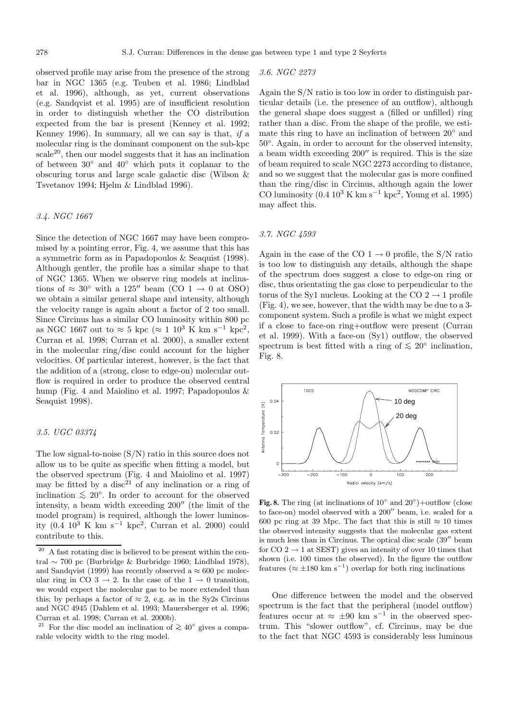observed profile may arise from the presence of the strong bar in NGC 1365 (e.g. Teuben et al. 1986; Lindblad et al. 1996), although, as yet, current observations (e.g. Sandqvist et al. 1995) are of insufficient resolution in order to distinguish whether the CO distribution expected from the bar is present (Kenney et al. 1992; Kenney 1996). In summary, all we can say is that, if a molecular ring is the dominant component on the sub-kpc  $scale<sup>20</sup>$ , then our model suggests that it has an inclination of between 30◦ and 40◦ which puts it coplanar to the obscuring torus and large scale galactic disc (Wilson & Tsvetanov 1994; Hjelm & Lindblad 1996).

## 3.4. NGC 1667

Since the detection of NGC 1667 may have been compromised by a pointing error, Fig. 4, we assume that this has a symmetric form as in Papadopoulos & Seaquist (1998). Although gentler, the profile has a similar shape to that of NGC 1365. When we observe ring models at inclinations of  $\approx 30^{\circ}$  with a 125" beam (CO 1  $\rightarrow$  0 at OSO) we obtain a similar general shape and intensity, although the velocity range is again about a factor of 2 too small. Since Circinus has a similar CO luminosity within 800 pc as NGC 1667 out to ≈ 5 kpc (≈ 1 10<sup>3</sup> K km s<sup>-1</sup> kpc<sup>2</sup>, Curran et al. 1998; Curran et al. 2000), a smaller extent in the molecular ring/disc could account for the higher velocities. Of particular interest, however, is the fact that the addition of a (strong, close to edge-on) molecular outflow is required in order to produce the observed central hump (Fig. 4 and Maiolino et al. 1997; Papadopoulos & Seaquist 1998).

## 3.5. UGC 03374

The low signal-to-noise (S/N) ratio in this source does not allow us to be quite as specific when fitting a model, but the observed spectrum (Fig. 4 and Maiolino et al. 1997) may be fitted by a disc<sup>21</sup> of any inclination or a ring of inclination  $\leq 20^\circ$ . In order to account for the observed intensity, a beam width exceeding  $200''$  (the limit of the model program) is required, although the lower luminosity  $(0.4 \ 10^3 \ \text{K} \ \text{km s}^{-1} \ \text{kpc}^2$ , Curran et al. 2000) could contribute to this.

#### 3.6. NGC 2273

Again the S/N ratio is too low in order to distinguish particular details (i.e. the presence of an outflow), although the general shape does suggest a (filled or unfilled) ring rather than a disc. From the shape of the profile, we estimate this ring to have an inclination of between 20◦ and 50◦. Again, in order to account for the observed intensity, a beam width exceeding  $200''$  is required. This is the size of beam required to scale NGC 2273 according to distance, and so we suggest that the molecular gas is more confined than the ring/disc in Circinus, although again the lower CO luminosity  $(0.4 \times 10^3 \text{ K km s}^{-1} \text{ kpc}^2)$ , Young et al. 1995) may affect this.

### 3.7. NGC 4593

Again in the case of the CO  $1 \rightarrow 0$  profile, the S/N ratio is too low to distinguish any details, although the shape of the spectrum does suggest a close to edge-on ring or disc, thus orientating the gas close to perpendicular to the torus of the Sy1 nucleus. Looking at the CO  $2 \rightarrow 1$  profile (Fig. 4), we see, however, that the width may be due to a 3 component system. Such a profile is what we might expect if a close to face-on ring+outflow were present (Curran et al. 1999). With a face-on (Sy1) outflow, the observed spectrum is best fitted with a ring of  $\leq 20^\circ$  inclination, Fig. 8.



**Fig. 8.** The ring (at inclinations of  $10°$  and  $20°$ )+outflow (close to face-on) model observed with a  $200''$  beam, i.e. scaled for a 600 pc ring at 39 Mpc. The fact that this is still  $\approx 10$  times the observed intensity suggests that the molecular gas extent is much less than in Circinus. The optical disc scale  $(39''$  beam for  $CO 2 \rightarrow 1$  at SEST) gives an intensity of over 10 times that shown (i.e. 100 times the observed). In the figure the outflow features ( $\approx \pm 180$  km s<sup>-1</sup>) overlap for both ring inclinations

One difference between the model and the observed spectrum is the fact that the peripheral (model outflow) features occur at  $\approx \pm 90$  km s<sup>-1</sup> in the observed spectrum. This "slower outflow", cf. Circinus, may be due to the fact that NGC 4593 is considerably less luminous

<sup>&</sup>lt;sup>20</sup> A fast rotating disc is believed to be present within the central ∼ 700 pc (Burbridge & Burbridge 1960; Lindblad 1978), and Sandqvist (1999) has recently observed a  $\approx 600$  pc molecular ring in CO 3  $\rightarrow$  2. In the case of the 1  $\rightarrow$  0 transition, we would expect the molecular gas to be more extended than this; by perhaps a factor of  $\approx 2$ , e.g. as in the Sy2s Circinus and NGC 4945 (Dahlem et al. 1993; Mauersberger et al. 1996; Curran et al. 1998; Curran et al. 2000b).

<sup>&</sup>lt;sup>21</sup> For the disc model an inclination of  $\gtrsim 40^\circ$  gives a comparable velocity width to the ring model.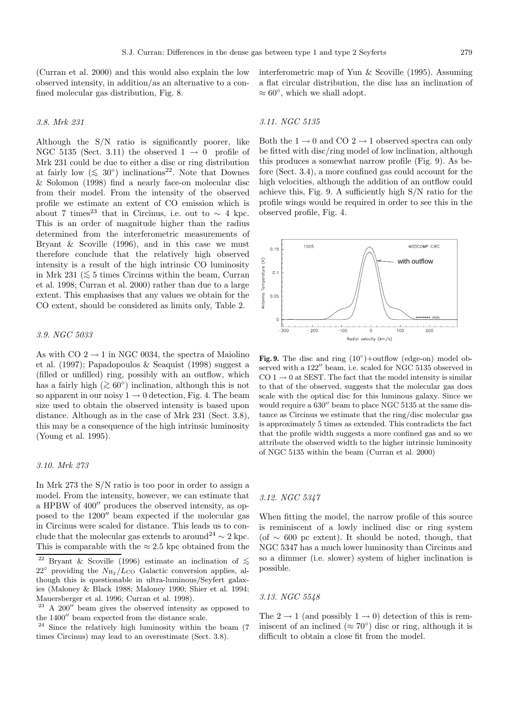(Curran et al. 2000) and this would also explain the low observed intensity, in addition/as an alternative to a confined molecular gas distribution, Fig. 8.

#### 3.8. Mrk 231

Although the S/N ratio is significantly poorer, like NGC 5135 (Sect. 3.11) the observed  $1 \rightarrow 0$  profile of Mrk 231 could be due to either a disc or ring distribution at fairly low ( $\leq 30^{\circ}$ ) inclinations<sup>22</sup>. Note that Downes & Solomon (1998) find a nearly face-on molecular disc from their model. From the intensity of the observed profile we estimate an extent of CO emission which is about 7 times<sup>23</sup> that in Circinus, i.e. out to  $\sim$  4 kpc. This is an order of magnitude higher than the radius determined from the interferometric measurements of Bryant & Scoville (1996), and in this case we must therefore conclude that the relatively high observed intensity is a result of the high intrinsic CO luminosity in Mrk 231 ( $≤$  5 times Circinus within the beam, Curran et al. 1998; Curran et al. 2000) rather than due to a large extent. This emphasises that any values we obtain for the CO extent, should be considered as limits only, Table 2.

## 3.9. NGC 5033

As with CO  $2 \rightarrow 1$  in NGC 0034, the spectra of Maiolino et al. (1997); Papadopoulos & Seaquist (1998) suggest a (filled or unfilled) ring, possibly with an outflow, which has a fairly high ( $\gtrsim 60°$ ) inclination, although this is not so apparent in our noisy  $1 \rightarrow 0$  detection, Fig. 4. The beam size used to obtain the observed intensity is based upon distance. Although as in the case of Mrk 231 (Sect. 3.8), this may be a consequence of the high intrinsic luminosity (Young et al. 1995).

#### 3.10. Mrk 273

In Mrk 273 the S/N ratio is too poor in order to assign a model. From the intensity, however, we can estimate that a HPBW of  $400''$  produces the observed intensity, as opposed to the  $1200''$  beam expected if the molecular gas in Circinus were scaled for distance. This leads us to conclude that the molecular gas extends to around<sup>24</sup>  $\sim$  2 kpc. This is comparable with the  $\approx 2.5$  kpc obtained from the interferometric map of Yun & Scoville (1995). Assuming a flat circular distribution, the disc has an inclination of  $\approx 60^{\circ}$ , which we shall adopt.

#### 3.11. NGC 5135

Both the  $1 \rightarrow 0$  and CO  $2 \rightarrow 1$  observed spectra can only be fitted with disc/ring model of low inclination, although this produces a somewhat narrow profile (Fig. 9). As before (Sect. 3.4), a more confined gas could account for the high velocities, although the addition of an outflow could achieve this, Fig. 9. A sufficiently high S/N ratio for the profile wings would be required in order to see this in the observed profile, Fig. 4.



Fig. 9. The disc and ring  $(10°) +$ outflow (edge-on) model observed with a 122" beam, i.e. scaled for NGC 5135 observed in  $CO 1 \rightarrow 0$  at SEST. The fact that the model intensity is similar to that of the observed, suggests that the molecular gas does scale with the optical disc for this luminous galaxy. Since we would require a  $630''$  beam to place NGC 5135 at the same distance as Circinus we estimate that the ring/disc molecular gas is approximately 5 times as extended. This contradicts the fact that the profile width suggests a more confined gas and so we attribute the observed width to the higher intrinsic luminosity of NGC 5135 within the beam (Curran et al. 2000)

#### 3.12. NGC 5347

When fitting the model, the narrow profile of this source is reminiscent of a lowly inclined disc or ring system (of  $\sim$  600 pc extent). It should be noted, though, that NGC 5347 has a much lower luminosity than Circinus and so a dimmer (i.e. slower) system of higher inclination is possible.

## 3.13. NGC 5548

The  $2 \rightarrow 1$  (and possibly  $1 \rightarrow 0$ ) detection of this is reminiscent of an inclined ( $\approx 70^{\circ}$ ) disc or ring, although it is difficult to obtain a close fit from the model.

<sup>&</sup>lt;sup>22</sup> Bryant & Scoville (1996) estimate an inclination of  $\lesssim$  22° providing the  $N_{\rm H_2}/L_{\rm CO}$  Galactic conversion applies, although this is questionable in ultra-luminous/Seyfert galaxies (Maloney & Black 1988; Maloney 1990; Shier et al. 1994; Mauersberger et al. 1996; Curran et al. 1998).

 $23$  A 200" beam gives the observed intensity as opposed to the  $1400''$  beam expected from the distance scale.

<sup>&</sup>lt;sup>24</sup> Since the relatively high luminosity within the beam (7) times Circinus) may lead to an overestimate (Sect. 3.8).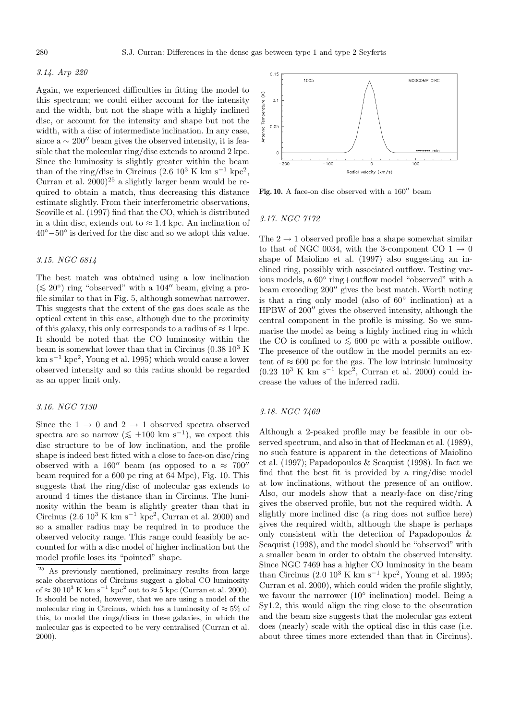## 3.14. Arp 220

Again, we experienced difficulties in fitting the model to this spectrum; we could either account for the intensity and the width, but not the shape with a highly inclined disc, or account for the intensity and shape but not the width, with a disc of intermediate inclination. In any case, since a  $\sim 200''$  beam gives the observed intensity, it is feasible that the molecular ring/disc extends to around 2 kpc. Since the luminosity is slightly greater within the beam than of the ring/disc in Circinus  $(2.6 10^3 \text{ K km s}^{-1} \text{ kpc}^2,$ Curran et al.  $2000)^{25}$  a slightly larger beam would be required to obtain a match, thus decreasing this distance estimate slightly. From their interferometric observations, Scoville et al. (1997) find that the CO, which is distributed in a thin disc, extends out to  $\approx 1.4$  kpc. An inclination of 40◦−50◦ is derived for the disc and so we adopt this value.

## 3.15. NGC 6814

The best match was obtained using a low inclination  $(\leq 20^{\circ})$  ring "observed" with a 104" beam, giving a profile similar to that in Fig. 5, although somewhat narrower. This suggests that the extent of the gas does scale as the optical extent in this case, although due to the proximity of this galaxy, this only corresponds to a radius of  $\approx 1$  kpc. It should be noted that the CO luminosity within the beam is somewhat lower than that in Circinus  $(0.38\ 10^3\ K)$  $km s^{-1} kpc^2$ , Young et al. 1995) which would cause a lower observed intensity and so this radius should be regarded as an upper limit only.

#### 3.16. NGC 7130

Since the  $1 \rightarrow 0$  and  $2 \rightarrow 1$  observed spectra observed spectra are so narrow ( $\lesssim \pm 100$  km s<sup>-1</sup>), we expect this disc structure to be of low inclination, and the profile shape is indeed best fitted with a close to face-on disc/ring observed with a 160" beam (as opposed to a  $\approx 700$ " beam required for a 600 pc ring at 64 Mpc), Fig. 10. This suggests that the ring/disc of molecular gas extends to around 4 times the distance than in Circinus. The luminosity within the beam is slightly greater than that in Circinus (2.6 10<sup>3</sup> K km s<sup>-1</sup> kpc<sup>2</sup>, Curran et al. 2000) and so a smaller radius may be required in to produce the observed velocity range. This range could feasibly be accounted for with a disc model of higher inclination but the model profile loses its "pointed" shape.



Fig. 10. A face-on disc observed with a  $160''$  beam

#### 3.17. NGC 7172

The  $2 \rightarrow 1$  observed profile has a shape somewhat similar to that of NGC 0034, with the 3-component CO  $1 \rightarrow 0$ shape of Maiolino et al. (1997) also suggesting an inclined ring, possibly with associated outflow. Testing various models, a 60◦ ring+outflow model "observed" with a beam exceeding  $200''$  gives the best match. Worth noting is that a ring only model (also of 60◦ inclination) at a HPBW of  $200''$  gives the observed intensity, although the central component in the profile is missing. So we summarise the model as being a highly inclined ring in which the CO is confined to  $\leq 600$  pc with a possible outflow. The presence of the outflow in the model permits an extent of  $\approx 600$  pc for the gas. The low intrinsic luminosity  $(0.23 \ 10^3 \ \text{K} \ \text{km} \ \text{s}^{-1} \ \text{kpc}^2)$ , Curran et al. 2000) could increase the values of the inferred radii.

## 3.18. NGC 7469

Although a 2-peaked profile may be feasible in our observed spectrum, and also in that of Heckman et al. (1989), no such feature is apparent in the detections of Maiolino et al. (1997); Papadopoulos & Seaquist (1998). In fact we find that the best fit is provided by a ring/disc model at low inclinations, without the presence of an outflow. Also, our models show that a nearly-face on disc/ring gives the observed profile, but not the required width. A slightly more inclined disc (a ring does not suffice here) gives the required width, although the shape is perhaps only consistent with the detection of Papadopoulos & Seaquist (1998), and the model should be "observed" with a smaller beam in order to obtain the observed intensity. Since NGC 7469 has a higher CO luminosity in the beam than Circinus (2.0  $10^3$  K km s<sup>-1</sup> kpc<sup>2</sup>, Young et al. 1995; Curran et al. 2000), which could widen the profile slightly, we favour the narrower  $(10<sup>°</sup>$  inclination) model. Being a Sy1.2, this would align the ring close to the obscuration and the beam size suggests that the molecular gas extent does (nearly) scale with the optical disc in this case (i.e. about three times more extended than that in Circinus).

As previously mentioned, preliminary results from large scale observations of Circinus suggest a global CO luminosity of  $\approx 30 \times 10^3 \text{ K km s}^{-1} \text{ kpc}^2$  out to  $\approx 5 \text{ kpc}$  (Curran et al. 2000). It should be noted, however, that we are using a model of the molecular ring in Circinus, which has a luminosity of  $\approx 5\%$  of this, to model the rings/discs in these galaxies, in which the molecular gas is expected to be very centralised (Curran et al. 2000).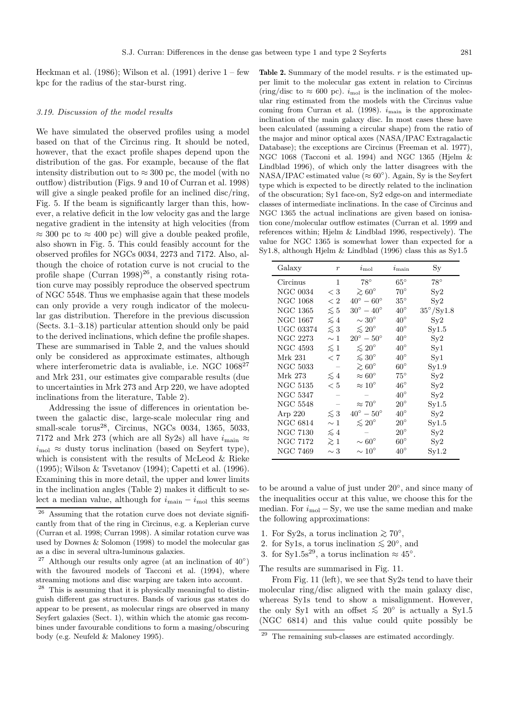Heckman et al.  $(1986)$ ; Wilson et al.  $(1991)$  derive  $1 - few$ kpc for the radius of the star-burst ring.

#### 3.19. Discussion of the model results

We have simulated the observed profiles using a model based on that of the Circinus ring. It should be noted, however, that the exact profile shapes depend upon the distribution of the gas. For example, because of the flat intensity distribution out to  $\approx 300$  pc, the model (with no outflow) distribution (Figs. 9 and 10 of Curran et al. 1998) will give a single peaked profile for an inclined disc/ring, Fig. 5. If the beam is significantly larger than this, however, a relative deficit in the low velocity gas and the large negative gradient in the intensity at high velocities (from  $\approx 300$  pc to  $\approx 400$  pc) will give a double peaked profile, also shown in Fig. 5. This could feasibly account for the observed profiles for NGCs 0034, 2273 and 7172. Also, although the choice of rotation curve is not crucial to the profile shape (Curran  $1998$ )<sup>26</sup>, a constantly rising rotation curve may possibly reproduce the observed spectrum of NGC 5548. Thus we emphasise again that these models can only provide a very rough indicator of the molecular gas distribution. Therefore in the previous discussion (Sects. 3.1–3.18) particular attention should only be paid to the derived inclinations, which define the profile shapes. These are summarised in Table 2, and the values should only be considered as approximate estimates, although where interferometric data is avaliable, i.e. NGC  $1068^{27}$ and Mrk 231, our estimates give comparable results (due to uncertainties in Mrk 273 and Arp 220, we have adopted inclinations from the literature, Table 2).

Addressing the issue of differences in orientation between the galactic disc, large-scale molecular ring and small-scale torus<sup>28</sup>, Circinus, NGCs 0034, 1365, 5033, 7172 and Mrk 273 (which are all Sy2s) all have  $i_{\text{main}} \approx$  $i_{\text{mol}} \approx$  dusty torus inclination (based on Seyfert type), which is consistent with the results of McLeod & Rieke (1995); Wilson & Tsvetanov (1994); Capetti et al. (1996). Examining this in more detail, the upper and lower limits in the inclination angles (Table 2) makes it difficult to select a median value, although for  $i_{\rm main}-i_{\rm mol}$  this seems **Table 2.** Summary of the model results. r is the estimated upper limit to the molecular gas extent in relation to Circinus (ring/disc to  $\approx 600$  pc).  $i_{\text{mol}}$  is the inclination of the molecular ring estimated from the models with the Circinus value coming from Curran et al. (1998).  $i_{\text{main}}$  is the approximate inclination of the main galaxy disc. In most cases these have been calculated (assuming a circular shape) from the ratio of the major and minor optical axes (NASA/IPAC Extragalactic Database); the exceptions are Circinus (Freeman et al. 1977), NGC 1068 (Tacconi et al. 1994) and NGC 1365 (Hjelm & Lindblad 1996), of which only the latter disagrees with the NASA/IPAC estimated value ( $\approx 60^{\circ}$ ). Again, Sy is the Seyfert type which is expected to be directly related to the inclination of the obscuration; Sy1 face-on, Sy2 edge-on and intermediate classes of intermediate inclinations. In the case of Circinus and NGC 1365 the actual inclinations are given based on ionisation cone/molecular outflow estimates (Curran et al. 1999 and references within; Hjelm & Lindblad 1996, respectively). The value for NGC 1365 is somewhat lower than expected for a Sy1.8, although Hjelm & Lindblad (1996) class this as Sy1.5

| Galaxy          | $\boldsymbol{r}$ | $i_{\text{mol}}$          | $i_{\rm main}$ | Sу                          |
|-----------------|------------------|---------------------------|----------------|-----------------------------|
| Circinus        | 1                | $78^{\circ}$              | $65^{\circ}$   | $78^{\circ}$                |
| <b>NGC 0034</b> | < 3              | $\gtrsim 60^{\circ}$      | $70^{\circ}$   | Sy2                         |
| <b>NGC 1068</b> | $\lt 2$          | $40^{\circ} - 60^{\circ}$ | $35^{\circ}$   | $\mathrm{Sy}2$              |
| NGC 1365        | $\lesssim 5$     | $30^{\circ} - 40^{\circ}$ | $40^{\circ}$   | $35^{\circ}/\mathrm{Sy1.8}$ |
| NGC 1667        | $\lesssim 4$     | $\sim 30^{\circ}$         | $40^{\circ}$   | $\mathrm{Sy}2$              |
| UGC 03374       | $\lesssim 3$     | $\lesssim 20^{\circ}$     | $40^{\circ}$   | $\mathrm{Sy}1.5$            |
| NGC 2273        | $\sim$ 1         | $20^{\circ} - 50^{\circ}$ | $40^{\circ}$   | $S_y2$                      |
| NGC 4593        | $\lesssim 1$     | $\lesssim 20^{\circ}$     | $40^{\circ}$   | $\mathrm{Sy1}$              |
| Mrk 231         | < 7              | $\lesssim 30^{\circ}$     | $40^{\circ}$   | Sy1                         |
| <b>NGC 5033</b> |                  | $\gtrsim 60^{\circ}$      | $60^{\circ}$   | $\mathrm{Sy1.9}$            |
| Mrk 273         | $\lesssim 4$     | $\approx 60^\circ$        | $75^{\circ}$   | $\mathrm{Sy}2$              |
| <b>NGC 5135</b> | < 5              | $\approx 10^\circ$        | $46^{\circ}$   | Sv2                         |
| NGC 5347        |                  |                           | $40^{\circ}$   | $\mathrm{Sy}2$              |
| NGC 5548        |                  | $\approx 70^\circ$        | $20^{\circ}$   | $\mathrm{Sy}1.5$            |
| Arp $220$       | $\lesssim 3$     | $40^{\circ} - 50^{\circ}$ | $40^{\circ}$   | Sv2                         |
| NGC $6814$      | $\sim 1$         | $\lesssim 20^{\circ}$     | $20^{\circ}$   | Syl.5                       |
| NGC 7130        | $\lesssim 4$     |                           | $20^{\circ}$   | $\mathrm{Sy}2$              |
| NGC 7172        | $\gtrsim$ 1      | $\sim 60^{\circ}$         | $60^{\circ}$   | $\mathrm{Sy}2$              |
| NGC 7469        | $\sim 3$         | $\sim 10^{\circ}$         | $40^{\circ}$   | $\mathrm{Sy1.2}$            |

to be around a value of just under 20◦, and since many of the inequalities occur at this value, we choose this for the median. For  $i_{\text{mol}} - Sy$ , we use the same median and make the following approximations:

- 1. For Sy2s, a torus inclination  $\gtrsim 70^\circ$ ,
- 2. for Sy1s, a torus inclination  $\lesssim 20^{\circ}$ , and
- 3. for Sy1.5s<sup>29</sup>, a torus inclination  $\approx 45^{\circ}$ .

The results are summarised in Fig. 11.

From Fig. 11 (left), we see that Sy2s tend to have their molecular ring/disc aligned with the main galaxy disc, whereas Sy1s tend to show a misalignment. However, the only Sy1 with an offset  $\leq 20^{\circ}$  is actually a Sy1.5 (NGC 6814) and this value could quite possibly be

Assuming that the rotation curve does not deviate significantly from that of the ring in Circinus, e.g. a Keplerian curve (Curran et al. 1998; Curran 1998). A similar rotation curve was used by Downes & Solomon (1998) to model the molecular gas as a disc in several ultra-luminous galaxies.

 $^{27}$  Although our results only agree (at an inclination of  $40^{\circ})$ with the favoured models of Tacconi et al. (1994), where streaming motions and disc warping are taken into account.

<sup>28</sup> This is assuming that it is physically meaningful to distinguish different gas structures. Bands of various gas states do appear to be present, as molecular rings are observed in many Seyfert galaxies (Sect. 1), within which the atomic gas recombines under favourable conditions to form a masing/obscuring body (e.g. Neufeld & Maloney 1995).

<sup>&</sup>lt;sup>29</sup> The remaining sub-classes are estimated accordingly.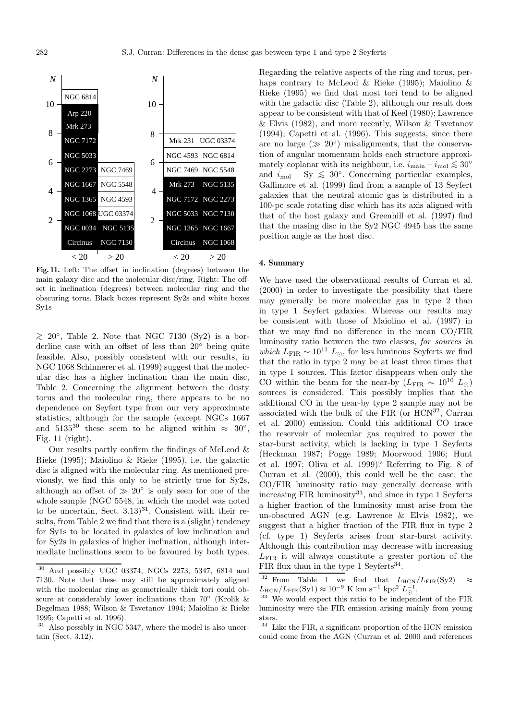

**Fig. 11.** Left: The offset in inclination (degrees) between the main galaxy disc and the molecular disc/ring. Right: The offset in inclination (degrees) between molecular ring and the obscuring torus. Black boxes represent Sy2s and white boxes Sy1s

 $\geq 20^\circ$ , Table 2. Note that NGC 7130 (Sy2) is a borderline case with an offset of less than 20◦ being quite feasible. Also, possibly consistent with our results, in NGC 1068 Schinnerer et al. (1999) suggest that the molecular disc has a higher inclination than the main disc, Table 2. Concerning the alignment between the dusty torus and the molecular ring, there appears to be no dependence on Seyfert type from our very approximate statistics, although for the sample (except NGCs 1667 and 5135<sup>30</sup> these seem to be aligned within  $\approx 30^{\circ}$ , Fig. 11 (right).

Our results partly confirm the findings of McLeod & Rieke (1995); Maiolino & Rieke (1995), i.e. the galactic disc is aligned with the molecular ring. As mentioned previously, we find this only to be strictly true for Sy2s, although an offset of  $\gg 20^{\circ}$  is only seen for one of the whole sample (NGC 5548, in which the model was noted to be uncertain, Sect.  $3.13$ <sup>31</sup>. Consistent with their results, from Table 2 we find that there is a (slight) tendency for Sy1s to be located in galaxies of low inclination and for Sy2s in galaxies of higher inclination, although intermediate inclinations seem to be favoured by both types. Regarding the relative aspects of the ring and torus, perhaps contrary to McLeod & Rieke (1995); Maiolino & Rieke (1995) we find that most tori tend to be aligned with the galactic disc (Table 2), although our result does appear to be consistent with that of Keel (1980); Lawrence & Elvis (1982), and more recently, Wilson & Tsvetanov (1994); Capetti et al. (1996). This suggests, since there are no large ( $\gg 20^{\circ}$ ) misalignments, that the conservation of angular momentum holds each structure approximately coplanar with its neighbour, i.e.  $i_{\text{main}} - i_{\text{mol}} \lesssim 30^{\circ}$ and  $i_{\text{mol}} - Sy \leq 30^{\circ}$ . Concerning particular examples, Gallimore et al. (1999) find from a sample of 13 Seyfert galaxies that the neutral atomic gas is distributed in a 100-pc scale rotating disc which has its axis aligned with that of the host galaxy and Greenhill et al. (1997) find that the masing disc in the Sy2 NGC 4945 has the same position angle as the host disc.

#### **4. Summary**

We have used the observational results of Curran et al. (2000) in order to investigate the possibility that there may generally be more molecular gas in type 2 than in type 1 Seyfert galaxies. Whereas our results may be consistent with those of Maiolino et al. (1997) in that we may find no difference in the mean CO/FIR luminosity ratio between the two classes, for sources in which  $L_{\text{FIR}} \sim 10^{11} L_{\odot}$ , for less luminous Seyferts we find that the ratio in type 2 may be at least three times that in type 1 sources. This factor disappears when only the CO within the beam for the near-by  $(L_{\text{FIR}} \sim 10^{10} L_{\odot})$ sources is considered. This possibly implies that the additional CO in the near-by type 2 sample may not be associated with the bulk of the FIR (or  $HCN^{32}$ , Curran et al. 2000) emission. Could this additional CO trace the reservoir of molecular gas required to power the star-burst activity, which is lacking in type 1 Seyferts (Heckman 1987; Pogge 1989; Moorwood 1996; Hunt et al. 1997; Oliva et al. 1999)? Referring to Fig. 8 of Curran et al. (2000), this could well be the case; the CO/FIR luminosity ratio may generally decrease with increasing FIR luminosity $33$ , and since in type 1 Seyferts a higher fraction of the luminosity must arise from the un-obscured AGN (e.g. Lawrence & Elvis 1982), we suggest that a higher fraction of the FIR flux in type 2 (cf. type 1) Seyferts arises from star-burst activity. Although this contribution may decrease with increasing  $L_{\text{FIR}}$  it will always constitute a greater portion of the FIR flux than in the type 1 Seyferts<sup>34</sup>.

<sup>30</sup> And possibly UGC 03374, NGCs 2273, 5347, 6814 and 7130. Note that these may still be approximately aligned with the molecular ring as geometrically thick tori could obscure at considerably lower inclinations than 70◦ (Krolik & Begelman 1988; Wilson & Tsvetanov 1994; Maiolino & Rieke 1995; Capetti et al. 1996).

<sup>31</sup> Also possibly in NGC 5347, where the model is also uncertain (Sect. 3.12).

<sup>&</sup>lt;sup>32</sup> From Table 1 we find that  $L_{\text{HCN}}/L_{\text{FIR}}(\text{Sy2})$   $\approx$  $L_{\rm HCN}/L_{\rm FIR}$ (Sy1)  $\approx 10^{-9}$  K km s<sup>-1</sup> kpc<sup>2</sup>  $L_{\odot}^{-1}$ .

 $^{33}$  We would expect this ratio to be independent of the  ${\rm FIR}$ luminosity were the FIR emission arising mainly from young stars.

<sup>34</sup> Like the FIR, a significant proportion of the HCN emission could come from the AGN (Curran et al. 2000 and references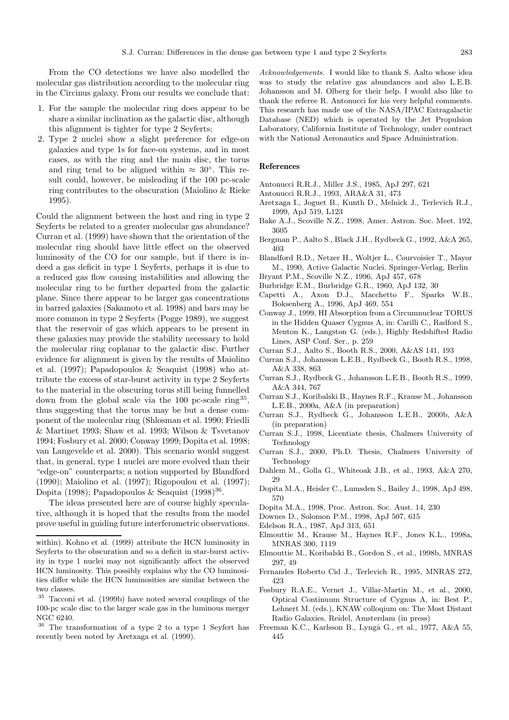From the CO detections we have also modelled the molecular gas distribution according to the molecular ring in the Circinus galaxy. From our results we conclude that:

- 1. For the sample the molecular ring does appear to be share a similar inclination as the galactic disc, although this alignment is tighter for type 2 Seyferts;
- 2. Type 2 nuclei show a slight preference for edge-on galaxies and type 1s for face-on systems, and in most cases, as with the ring and the main disc, the torus and ring tend to be aligned within  $\approx 30^{\circ}$ . This result could, however, be misleading if the 100 pc-scale ring contributes to the obscuration (Maiolino & Rieke 1995).

Could the alignment between the host and ring in type 2 Seyferts be related to a greater molecular gas abundance? Curran et al. (1999) have shown that the orientation of the molecular ring should have little effect on the observed luminosity of the CO for our sample, but if there is indeed a gas deficit in type 1 Seyferts, perhaps it is due to a reduced gas flow causing instabilities and allowing the molecular ring to be further departed from the galactic plane. Since there appear to be larger gas concentrations in barred galaxies (Sakamoto et al. 1998) and bars may be more common in type 2 Seyferts (Pogge 1989), we suggest that the reservoir of gas which appears to be present in these galaxies may provide the stability necessary to hold the molecular ring coplanar to the galactic disc. Further evidence for alignment is given by the results of Maiolino et al. (1997); Papadopoulos & Seaquist (1998) who attribute the excess of star-burst activity in type 2 Seyferts to the material in the obscuring torus still being funnelled down from the global scale via the 100 pc-scale ring<sup>35</sup>, thus suggesting that the torus may be but a dense component of the molecular ring (Shlosman et al. 1990; Friedli & Martinet 1993; Shaw et al. 1993; Wilson & Tsvetanov 1994; Fosbury et al. 2000; Conway 1999; Dopita et al. 1998; van Langevelde et al. 2000). This scenario would suggest that, in general, type 1 nuclei are more evolved than their "edge-on" counterparts; a notion supported by Blandford (1990); Maiolino et al. (1997); Rigopoulou et al. (1997); Dopita (1998); Papadopoulos & Seaguist (1998)<sup>36</sup>.

The ideas presented here are of course highly speculative, although it is hoped that the results from the model prove useful in guiding future interferometric observations. Acknowledgements. I would like to thank S. Aalto whose idea was to study the relative gas abundances and also L.E.B. Johansson and M. Olberg for their help. I would also like to thank the referee R. Antonucci for his very helpful comments. This research has made use of the NASA/IPAC Extragalactic Database (NED) which is operated by the Jet Propulsion Laboratory, California Institute of Technology, under contract with the National Aeronautics and Space Administration.

### **References**

- Antonucci R.R.J., Miller J.S., 1985, ApJ 297, 621
- Antonucci R.R.J., 1993, ARA&A 31, 473
- Aretxaga I., Joguet B., Kunth D., Melnick J., Terlevich R.J., 1999, ApJ 519, L123
- Bake A.J., Scoville N.Z., 1998, Amer. Astron. Soc. Meet. 192, 3605
- Bergman P., Aalto S., Black J.H., Rydbeck G., 1992, A&A 265, 403
- Blandford R.D., Netzer H., Woltjer L., Courvoisier T., Mayor M., 1990, Active Galactic Nuclei. Springer-Verlag, Berlin
- Bryant P.M., Scoville N.Z., 1996, ApJ 457, 678
- Burbridge E.M., Burbridge G.R., 1960, ApJ 132, 30
- Capetti A., Axon D.J., Macchetto F., Sparks W.B., Boksenberg A., 1996, ApJ 469, 554
- Conway J., 1999, HI Absorption from a Circumnuclear TORUS in the Hidden Quaser Cygnus A, in: Carilli C., Radford S., Menton K., Langston G. (eds.), Highly Redshifted Radio Lines, ASP Conf. Ser., p. 259
- Curran S.J., Aalto S., Booth R.S., 2000, A&AS 141, 193
- Curran S.J., Johansson L.E.B., Rydbeck G., Booth R.S., 1998, A&A 338, 863
- Curran S.J., Rydbeck G., Johansson L.E.B., Booth R.S., 1999, A&A 344, 767
- Curran S.J., Koribalski B., Haynes R.F., Krause M., Johansson L.E.B., 2000a, A&A (in preparation)
- Curran S.J., Rydbeck G., Johansson L.E.B., 2000b, A&A (in preparation)
- Curran S.J., 1998, Licentiate thesis, Chalmers University of Technology
- Curran S.J., 2000, Ph.D. Thesis, Chalmers University of **Technology**
- Dahlem M., Golla G., Whiteoak J.B., et al., 1993, A&A 270, 29
- Dopita M.A., Heisler C., Lumsden S., Bailey J., 1998, ApJ 498, 570
- Dopita M.A., 1998, Proc. Astron. Soc. Aust. 14, 230
- Downes D., Solomon P.M., 1998, ApJ 507, 615
- Edelson R.A., 1987, ApJ 313, 651
- Elmouttie M., Krause M., Haynes R.F., Jones K.L., 1998a, MNRAS 300, 1119
- Elmouttie M., Koribalski B., Gordon S., et al., 1998b, MNRAS 297, 49
- Fernandes Roberto Cid J., Terlevich R., 1995, MNRAS 272, 423
- Fosbury R.A.E., Vernet J., Villar-Martin M., et al., 2000, Optical Continuum Structure of Cygnus A, in: Best P., Lehnert M. (eds.), KNAW colloqium on: The Most Distant Radio Galaxies. Reidel, Amsterdam (in press)
- Freeman K.C., Karlsson B., Lyngå G., et al., 1977, A&A 55, 445

within). Kohno et al. (1999) attribute the HCN luminosity in Seyferts to the obscuration and so a deficit in star-burst activity in type 1 nuclei may not significantly affect the observed HCN luminosity. This possibly explains why the CO luminosities differ while the HCN luminosities are similar between the two classes.

<sup>35</sup> Tacconi et al. (1999b) have noted several couplings of the 100-pc scale disc to the larger scale gas in the luminous merger NGC 6240.

<sup>36</sup> The transformation of a type 2 to a type 1 Seyfert has recently been noted by Aretxaga et al. (1999).